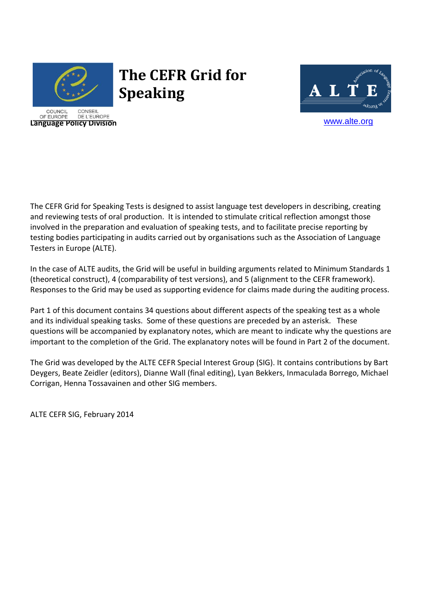

# **The CEFR Grid for Speaking**



The CEFR Grid for Speaking Tests is designed to assist language test developers in describing, creating and reviewing tests of oral production. It is intended to stimulate critical reflection amongst those involved in the preparation and evaluation of speaking tests, and to facilitate precise reporting by testing bodies participating in audits carried out by organisations such as the Association of Language Testers in Europe (ALTE).

In the case of ALTE audits, the Grid will be useful in building arguments related to Minimum Standards 1 (theoretical construct), 4 (comparability of test versions), and 5 (alignment to the CEFR framework). Responses to the Grid may be used as supporting evidence for claims made during the auditing process.

Part 1 of this document contains 34 questions about different aspects of the speaking test as a whole and its individual speaking tasks. Some of these questions are preceded by an asterisk. These questions will be accompanied by explanatory notes, which are meant to indicate why the questions are important to the completion of the Grid. The explanatory notes will be found in Part 2 of the document.

The Grid was developed by the ALTE CEFR Special Interest Group (SIG). It contains contributions by Bart Deygers, Beate Zeidler (editors), Dianne Wall (final editing), Lyan Bekkers, Inmaculada Borrego, Michael Corrigan, Henna Tossavainen and other SIG members.

ALTE CEFR SIG, February 2014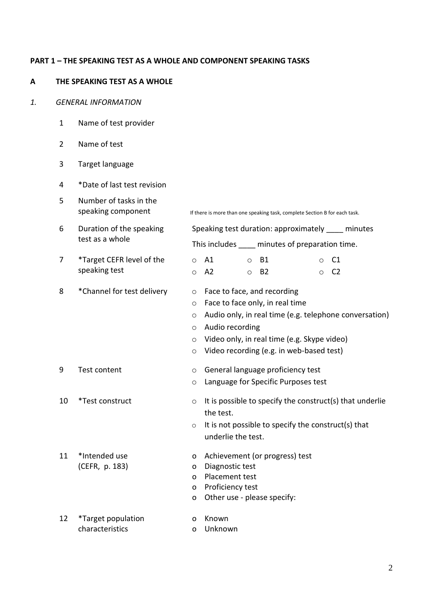#### **PART 1 – THE SPEAKING TEST AS A WHOLE AND COMPONENT SPEAKING TASKS**

## **A THE SPEAKING TEST AS A WHOLE**

#### *1. GENERAL INFORMATION*

- 1 Name of test provider
- 2 Name of test
- 3 Target language
- 4 \*Date of last test revision
- 5 Number of tasks in the
- 6 Duration of the speaking test as a whole
- 7 \*Target CEFR level of the speaking test
- 

11 \*Intended use

(CEFR, p. 183)

speaking component If there is more than one speaking task, complete Section B for each task.

Speaking test duration: approximately minutes This includes minutes of preparation time. o A1 o A2 o B1 o B2 o C1 o C2 8 \*Channel for test delivery o Face to face, and recording o Face to face only, in real time o Audio only, in real time (e.g. telephone conversation) o Audio recording o Video only, in real time (e.g. Skype video) o Video recording (e.g. in web-based test) 9 Test content o General language proficiency test o Language for Specific Purposes test 10 \*Test construct  $\circ$  It is possible to specify the construct(s) that underlie the test.  $\circ$  It is not possible to specify the construct(s) that underlie the test. o Achievement (or progress) test o Diagnostic test

- o Placement test
- o Proficiency test
- o Other use please specify:
- 12 \*Target population o Known
- characteristics o Unknown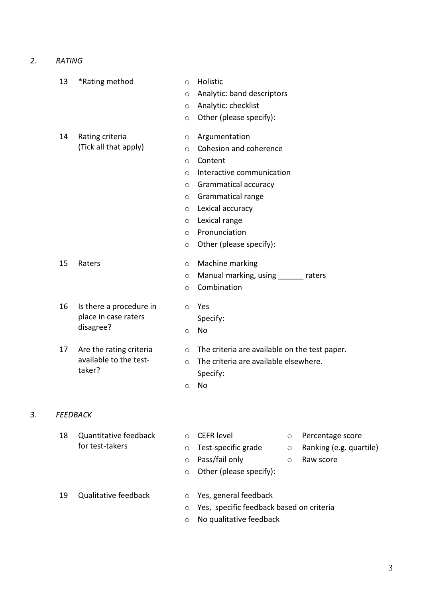*2. RATING* 

|    | 13 | *Rating method                                               | $\circ$ | Holistic                                      |         |                         |
|----|----|--------------------------------------------------------------|---------|-----------------------------------------------|---------|-------------------------|
|    |    |                                                              | $\circ$ | Analytic: band descriptors                    |         |                         |
|    |    |                                                              | $\circ$ | Analytic: checklist                           |         |                         |
|    |    |                                                              | $\circ$ | Other (please specify):                       |         |                         |
|    | 14 | Rating criteria                                              | $\circ$ | Argumentation                                 |         |                         |
|    |    | (Tick all that apply)                                        | $\circ$ | Cohesion and coherence                        |         |                         |
|    |    |                                                              | $\circ$ | Content                                       |         |                         |
|    |    |                                                              | $\circ$ | Interactive communication                     |         |                         |
|    |    |                                                              | $\circ$ | Grammatical accuracy                          |         |                         |
|    |    |                                                              | $\circ$ | <b>Grammatical range</b>                      |         |                         |
|    |    |                                                              | $\circ$ | Lexical accuracy                              |         |                         |
|    |    |                                                              | $\circ$ | Lexical range                                 |         |                         |
|    |    |                                                              | $\circ$ | Pronunciation                                 |         |                         |
|    |    |                                                              | $\circ$ | Other (please specify):                       |         |                         |
|    | 15 | Raters                                                       | $\circ$ | Machine marking                               |         |                         |
|    |    |                                                              | $\circ$ | Manual marking, using ______ raters           |         |                         |
|    |    |                                                              | $\circ$ | Combination                                   |         |                         |
|    | 16 | Is there a procedure in<br>place in case raters<br>disagree? | $\circ$ | Yes                                           |         |                         |
|    |    |                                                              |         | Specify:                                      |         |                         |
|    |    |                                                              | $\circ$ | No                                            |         |                         |
|    | 17 | Are the rating criteria<br>available to the test-<br>taker?  | $\circ$ | The criteria are available on the test paper. |         |                         |
|    |    |                                                              | $\circ$ | The criteria are available elsewhere.         |         |                         |
|    |    |                                                              |         | Specify:                                      |         |                         |
|    |    |                                                              | $\circ$ | No                                            |         |                         |
| 3. |    | <b>FEEDBACK</b>                                              |         |                                               |         |                         |
|    |    |                                                              |         |                                               |         |                         |
|    | 18 | Quantitative feedback<br>for test-takers                     | $\circ$ | <b>CEFR level</b>                             | $\circ$ | Percentage score        |
|    |    |                                                              | $\circ$ | Test-specific grade                           | $\circ$ | Ranking (e.g. quartile) |
|    |    |                                                              | $\circ$ | Pass/fail only                                | $\circ$ | Raw score               |

- o Other (please specify):
- 19 Qualitative feedback o Yes, general feedback
	-
	- o Yes, specific feedback based on criteria
	- o No qualitative feedback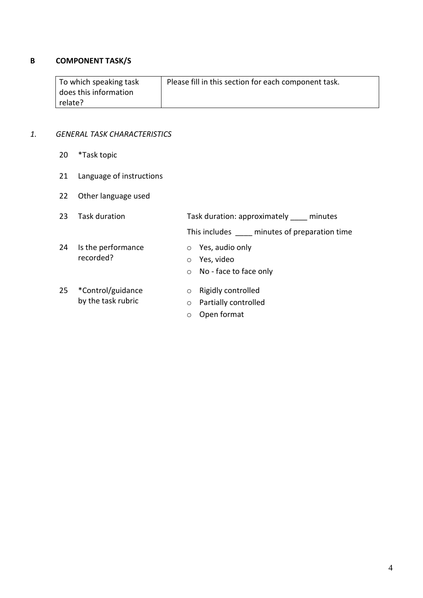# **B COMPONENT TASK/S**

| To which speaking task | Please fill in this section for each component task. |
|------------------------|------------------------------------------------------|
| does this information  |                                                      |
| relate?                |                                                      |

# *1. GENERAL TASK CHARACTERISTICS*

- 20 \*Task topic
- 21 Language of instructions
- 22 Other language used

| 23 | Task duration                           |                               | Task duration: approximately minutes                            |  |  |
|----|-----------------------------------------|-------------------------------|-----------------------------------------------------------------|--|--|
|    |                                         |                               | This includes minutes of preparation time                       |  |  |
| 24 | Is the performance<br>recorded?         | $\circ$<br>$\circ$            | Yes, audio only<br>Yes, video<br>$\circ$ No - face to face only |  |  |
| 25 | *Control/guidance<br>by the task rubric | $\circ$<br>$\circ$<br>$\circ$ | Rigidly controlled<br>Partially controlled<br>Open format       |  |  |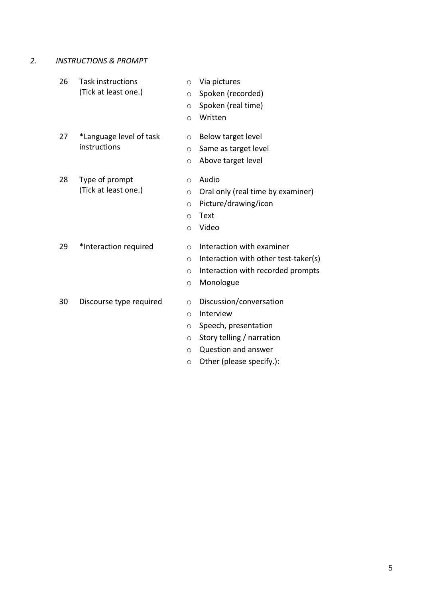- *2. INSTRUCTIONS & PROMPT*
	- 26 Task instructions (Tick at least one.) o Via pictures o Spoken (recorded) o Spoken (real time) o Written 27 \*Language level of task instructions o Below target level o Same as target level o Above target level 28 Type of prompt (Tick at least one.) o Audio o Oral only (real time by examiner) o Picture/drawing/icon o Text o Video 29 \*Interaction required o Interaction with examiner o Interaction with other test-taker(s) o Interaction with recorded prompts o Monologue 30 Discourse type required o Discussion/conversation o Interview o Speech, presentation o Story telling / narration

o Question and answer o Other (please specify.):

5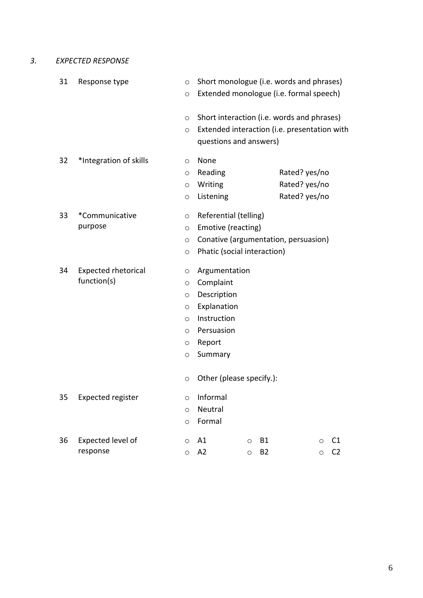*3. EXPECTED RESPONSE* 

| 31 | Response type                             |                                                                         | Short monologue (i.e. words and phrases)<br>Extended monologue (i.e. formal speech)                                                    |
|----|-------------------------------------------|-------------------------------------------------------------------------|----------------------------------------------------------------------------------------------------------------------------------------|
|    |                                           | $\circ$<br>$\circ$                                                      | Short interaction (i.e. words and phrases)<br>Extended interaction (i.e. presentation with<br>questions and answers)                   |
| 32 | *Integration of skills                    | $\circ$<br>$\circ$<br>$\circ$<br>$\circ$                                | None<br>Reading<br>Rated? yes/no<br>Rated? yes/no<br>Writing<br>Listening<br>Rated? yes/no                                             |
| 33 | *Communicative<br>purpose                 | $\circ$<br>$\circ$<br>$\circ$<br>$\circ$                                | Referential (telling)<br>Emotive (reacting)<br>Conative (argumentation, persuasion)<br>Phatic (social interaction)                     |
| 34 | <b>Expected rhetorical</b><br>function(s) | O<br>O<br>$\circ$<br>O<br>$\circ$<br>$\circ$<br>O<br>$\circ$<br>$\circ$ | Argumentation<br>Complaint<br>Description<br>Explanation<br>Instruction<br>Persuasion<br>Report<br>Summary<br>Other (please specify.): |
| 35 | <b>Expected register</b>                  | $\circlearrowright$<br>$\circ$<br>$\circ$                               | Informal<br>Neutral<br>Formal                                                                                                          |
| 36 | Expected level of<br>response             | O<br>$\circ$                                                            | A1<br><b>B1</b><br>C1<br>$\circ$<br>$\circ$<br>A2<br><b>B2</b><br>C <sub>2</sub><br>$\circ$<br>$\circ$                                 |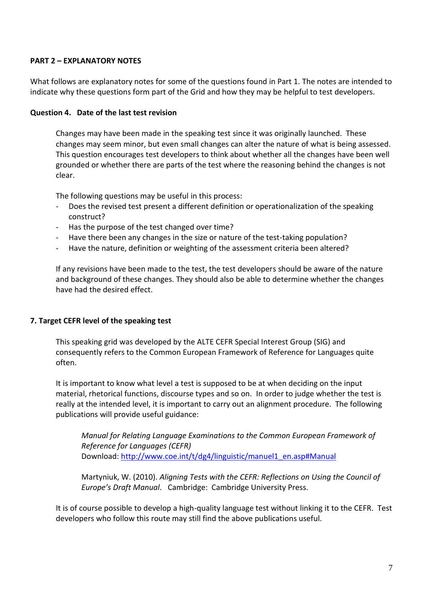# **PART 2 – EXPLANATORY NOTES**

What follows are explanatory notes for some of the questions found in Part 1. The notes are intended to indicate why these questions form part of the Grid and how they may be helpful to test developers.

#### **Question 4. Date of the last test revision**

Changes may have been made in the speaking test since it was originally launched. These changes may seem minor, but even small changes can alter the nature of what is being assessed. This question encourages test developers to think about whether all the changes have been well grounded or whether there are parts of the test where the reasoning behind the changes is not clear.

The following questions may be useful in this process:

- Does the revised test present a different definition or operationalization of the speaking construct?
- Has the purpose of the test changed over time?
- Have there been any changes in the size or nature of the test-taking population?
- Have the nature, definition or weighting of the assessment criteria been altered?

If any revisions have been made to the test, the test developers should be aware of the nature and background of these changes. They should also be able to determine whether the changes have had the desired effect.

# **7. Target CEFR level of the speaking test**

This speaking grid was developed by the ALTE CEFR Special Interest Group (SIG) and consequently refers to the Common European Framework of Reference for Languages quite often.

It is important to know what level a test is supposed to be at when deciding on the input material, rhetorical functions, discourse types and so on. In order to judge whether the test is really at the intended level, it is important to carry out an alignment procedure. The following publications will provide useful guidance:

*Manual for Relating Language Examinations to the Common European Framework of Reference for Languages (CEFR)* Download: [http://www.coe.int/t/dg4/linguistic/manuel1\\_en.asp#Manual](http://www.coe.int/t/dg4/linguistic/manuel1_en.asp#Manual)

Martyniuk, W. (2010). *Aligning Tests with the CEFR: Reflections on Using the Council of Europe's Draft Manual*. Cambridge: Cambridge University Press.

It is of course possible to develop a high-quality language test without linking it to the CEFR. Test developers who follow this route may still find the above publications useful.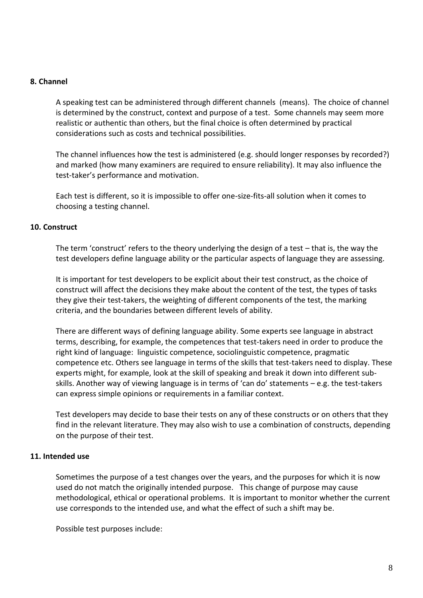#### **8. Channel**

A speaking test can be administered through different channels (means). The choice of channel is determined by the construct, context and purpose of a test. Some channels may seem more realistic or authentic than others, but the final choice is often determined by practical considerations such as costs and technical possibilities.

The channel influences how the test is administered (e.g. should longer responses by recorded?) and marked (how many examiners are required to ensure reliability). It may also influence the test-taker's performance and motivation.

Each test is different, so it is impossible to offer one-size-fits-all solution when it comes to choosing a testing channel.

#### **10. Construct**

The term 'construct' refers to the theory underlying the design of a test – that is, the way the test developers define language ability or the particular aspects of language they are assessing.

It is important for test developers to be explicit about their test construct, as the choice of construct will affect the decisions they make about the content of the test, the types of tasks they give their test-takers, the weighting of different components of the test, the marking criteria, and the boundaries between different levels of ability.

There are different ways of defining language ability. Some experts see language in abstract terms, describing, for example, the competences that test-takers need in order to produce the right kind of language: linguistic competence, sociolinguistic competence, pragmatic competence etc. Others see language in terms of the skills that test-takers need to display. These experts might, for example, look at the skill of speaking and break it down into different subskills. Another way of viewing language is in terms of 'can do' statements – e.g. the test-takers can express simple opinions or requirements in a familiar context.

Test developers may decide to base their tests on any of these constructs or on others that they find in the relevant literature. They may also wish to use a combination of constructs, depending on the purpose of their test.

#### **11. Intended use**

Sometimes the purpose of a test changes over the years, and the purposes for which it is now used do not match the originally intended purpose. This change of purpose may cause methodological, ethical or operational problems. It is important to monitor whether the current use corresponds to the intended use, and what the effect of such a shift may be.

Possible test purposes include: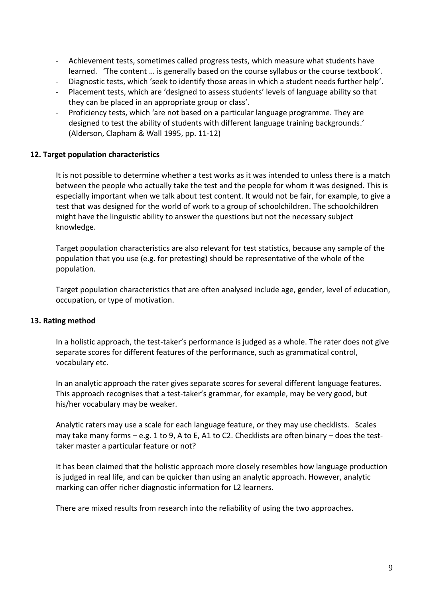- Achievement tests, sometimes called progress tests, which measure what students have learned. 'The content … is generally based on the course syllabus or the course textbook'.
- Diagnostic tests, which 'seek to identify those areas in which a student needs further help'.
- Placement tests, which are 'designed to assess students' levels of language ability so that they can be placed in an appropriate group or class'.
- Proficiency tests, which 'are not based on a particular language programme. They are designed to test the ability of students with different language training backgrounds.' (Alderson, Clapham & Wall 1995, pp. 11-12)

## **12. Target population characteristics**

It is not possible to determine whether a test works as it was intended to unless there is a match between the people who actually take the test and the people for whom it was designed. This is especially important when we talk about test content. It would not be fair, for example, to give a test that was designed for the world of work to a group of schoolchildren. The schoolchildren might have the linguistic ability to answer the questions but not the necessary subject knowledge.

Target population characteristics are also relevant for test statistics, because any sample of the population that you use (e.g. for pretesting) should be representative of the whole of the population.

Target population characteristics that are often analysed include age, gender, level of education, occupation, or type of motivation.

#### **13. Rating method**

In a holistic approach, the test-taker's performance is judged as a whole. The rater does not give separate scores for different features of the performance, such as grammatical control, vocabulary etc.

In an analytic approach the rater gives separate scores for several different language features. This approach recognises that a test-taker's grammar, for example, may be very good, but his/her vocabulary may be weaker.

Analytic raters may use a scale for each language feature, or they may use checklists. Scales may take many forms – e.g. 1 to 9, A to E, A1 to C2. Checklists are often binary – does the testtaker master a particular feature or not?

It has been claimed that the holistic approach more closely resembles how language production is judged in real life, and can be quicker than using an analytic approach. However, analytic marking can offer richer diagnostic information for L2 learners.

There are mixed results from research into the reliability of using the two approaches.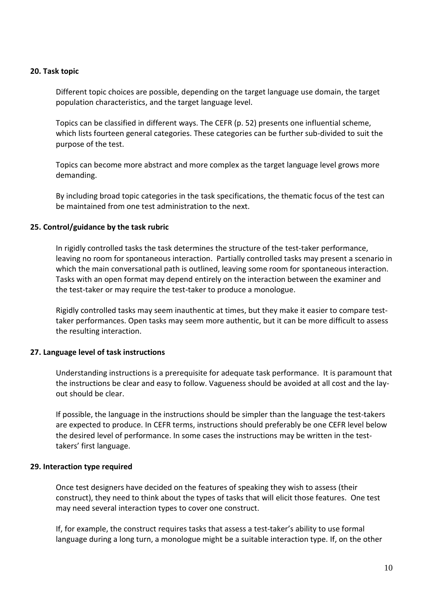#### **20. Task topic**

Different topic choices are possible, depending on the target language use domain, the target population characteristics, and the target language level.

Topics can be classified in different ways. The CEFR (p. 52) presents one influential scheme, which lists fourteen general categories. These categories can be further sub-divided to suit the purpose of the test.

Topics can become more abstract and more complex as the target language level grows more demanding.

By including broad topic categories in the task specifications, the thematic focus of the test can be maintained from one test administration to the next.

#### **25. Control/guidance by the task rubric**

In rigidly controlled tasks the task determines the structure of the test-taker performance, leaving no room for spontaneous interaction. Partially controlled tasks may present a scenario in which the main conversational path is outlined, leaving some room for spontaneous interaction. Tasks with an open format may depend entirely on the interaction between the examiner and the test-taker or may require the test-taker to produce a monologue.

Rigidly controlled tasks may seem inauthentic at times, but they make it easier to compare testtaker performances. Open tasks may seem more authentic, but it can be more difficult to assess the resulting interaction.

#### **27. Language level of task instructions**

Understanding instructions is a prerequisite for adequate task performance. It is paramount that the instructions be clear and easy to follow. Vagueness should be avoided at all cost and the layout should be clear.

If possible, the language in the instructions should be simpler than the language the test-takers are expected to produce. In CEFR terms, instructions should preferably be one CEFR level below the desired level of performance. In some cases the instructions may be written in the testtakers' first language.

#### **29. Interaction type required**

Once test designers have decided on the features of speaking they wish to assess (their construct), they need to think about the types of tasks that will elicit those features. One test may need several interaction types to cover one construct.

If, for example, the construct requires tasks that assess a test-taker's ability to use formal language during a long turn, a monologue might be a suitable interaction type. If, on the other